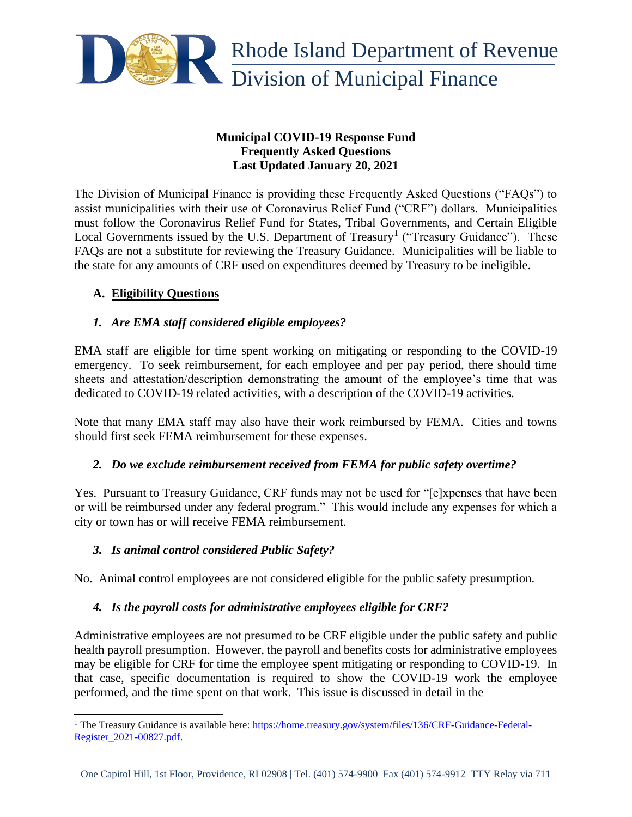

### **Municipal COVID-19 Response Fund Frequently Asked Questions Last Updated January 20, 2021**

The Division of Municipal Finance is providing these Frequently Asked Questions ("FAQs") to assist municipalities with their use of Coronavirus Relief Fund ("CRF") dollars. Municipalities must follow the Coronavirus Relief Fund for States, Tribal Governments, and Certain Eligible Local Governments issued by the U.S. Department of Treasury<sup>1</sup> ("Treasury Guidance"). These FAQs are not a substitute for reviewing the Treasury Guidance. Municipalities will be liable to the state for any amounts of CRF used on expenditures deemed by Treasury to be ineligible.

## **A. Eligibility Questions**

### *1. Are EMA staff considered eligible employees?*

EMA staff are eligible for time spent working on mitigating or responding to the COVID-19 emergency. To seek reimbursement, for each employee and per pay period, there should time sheets and attestation/description demonstrating the amount of the employee's time that was dedicated to COVID-19 related activities, with a description of the COVID-19 activities.

Note that many EMA staff may also have their work reimbursed by FEMA. Cities and towns should first seek FEMA reimbursement for these expenses.

### *2. Do we exclude reimbursement received from FEMA for public safety overtime?*

Yes. Pursuant to Treasury Guidance, CRF funds may not be used for "[e]xpenses that have been or will be reimbursed under any federal program." This would include any expenses for which a city or town has or will receive FEMA reimbursement.

### *3. Is animal control considered Public Safety?*

No. Animal control employees are not considered eligible for the public safety presumption.

### *4. Is the payroll costs for administrative employees eligible for CRF?*

Administrative employees are not presumed to be CRF eligible under the public safety and public health payroll presumption. However, the payroll and benefits costs for administrative employees may be eligible for CRF for time the employee spent mitigating or responding to COVID-19. In that case, specific documentation is required to show the COVID-19 work the employee performed, and the time spent on that work. This issue is discussed in detail in the

<sup>&</sup>lt;sup>1</sup> The Treasury Guidance is available here: [https://home.treasury.gov/system/files/136/CRF-Guidance-Federal-](https://home.treasury.gov/system/files/136/CRF-Guidance-Federal-Register_2021-00827.pdf)[Register\\_2021-00827.pdf.](https://home.treasury.gov/system/files/136/CRF-Guidance-Federal-Register_2021-00827.pdf)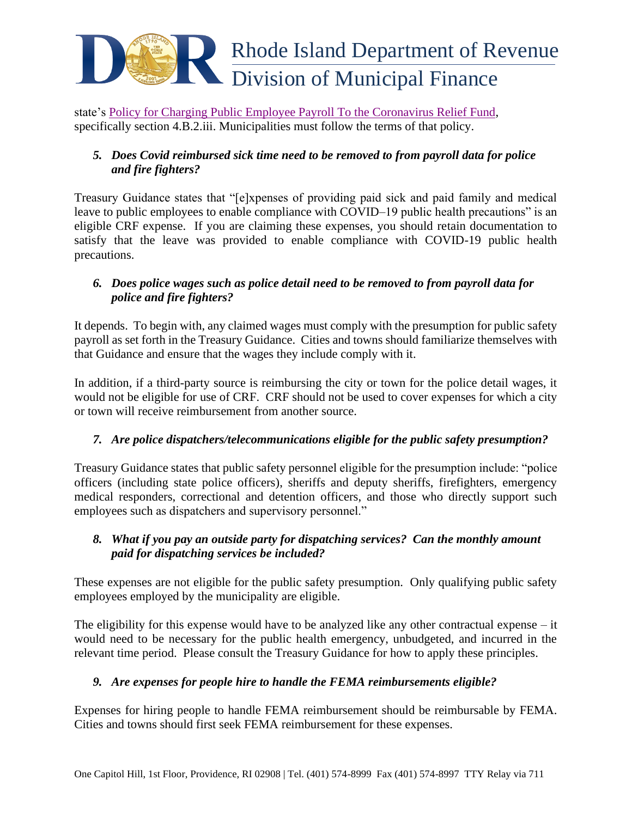

state's [Policy for Charging Public Employee Payroll To the Coronavirus Relief Fund,](http://www.omb.ri.gov/documents/pandemic/2020-11-16%20CRF%20Payroll%20Policy%20PUBLISHED.pdf) specifically section 4.B.2.iii. Municipalities must follow the terms of that policy.

## *5. Does Covid reimbursed sick time need to be removed to from payroll data for police and fire fighters?*

Treasury Guidance states that "[e]xpenses of providing paid sick and paid family and medical leave to public employees to enable compliance with COVID–19 public health precautions" is an eligible CRF expense. If you are claiming these expenses, you should retain documentation to satisfy that the leave was provided to enable compliance with COVID-19 public health precautions.

# *6. Does police wages such as police detail need to be removed to from payroll data for police and fire fighters?*

It depends. To begin with, any claimed wages must comply with the presumption for public safety payroll as set forth in the Treasury Guidance. Cities and towns should familiarize themselves with that Guidance and ensure that the wages they include comply with it.

In addition, if a third-party source is reimbursing the city or town for the police detail wages, it would not be eligible for use of CRF. CRF should not be used to cover expenses for which a city or town will receive reimbursement from another source.

# *7. Are police dispatchers/telecommunications eligible for the public safety presumption?*

Treasury Guidance states that public safety personnel eligible for the presumption include: "police officers (including state police officers), sheriffs and deputy sheriffs, firefighters, emergency medical responders, correctional and detention officers, and those who directly support such employees such as dispatchers and supervisory personnel."

## *8. What if you pay an outside party for dispatching services? Can the monthly amount paid for dispatching services be included?*

These expenses are not eligible for the public safety presumption. Only qualifying public safety employees employed by the municipality are eligible.

The eligibility for this expense would have to be analyzed like any other contractual expense – it would need to be necessary for the public health emergency, unbudgeted, and incurred in the relevant time period. Please consult the Treasury Guidance for how to apply these principles.

# *9. Are expenses for people hire to handle the FEMA reimbursements eligible?*

Expenses for hiring people to handle FEMA reimbursement should be reimbursable by FEMA. Cities and towns should first seek FEMA reimbursement for these expenses.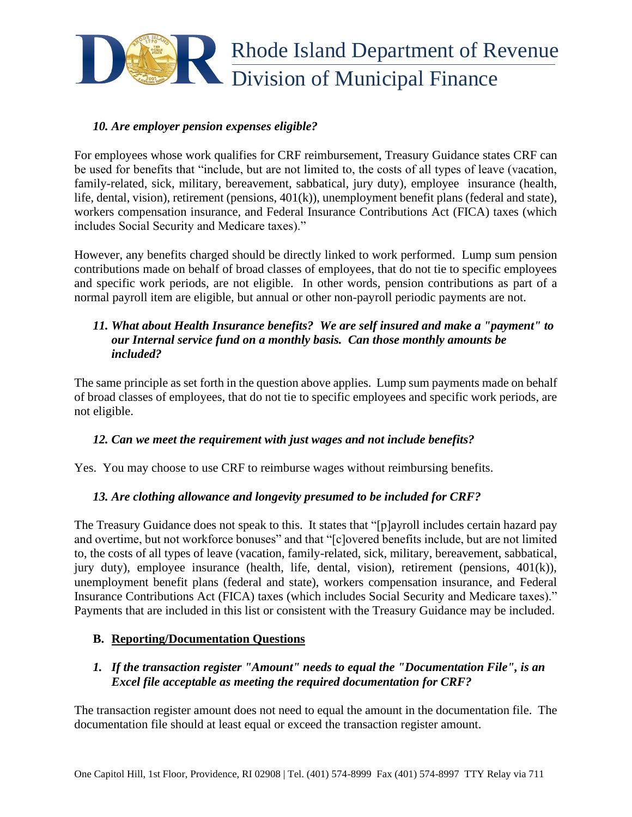

#### *10. Are employer pension expenses eligible?*

For employees whose work qualifies for CRF reimbursement, Treasury Guidance states CRF can be used for benefits that "include, but are not limited to, the costs of all types of leave (vacation, family-related, sick, military, bereavement, sabbatical, jury duty), employee insurance (health, life, dental, vision), retirement (pensions, 401(k)), unemployment benefit plans (federal and state), workers compensation insurance, and Federal Insurance Contributions Act (FICA) taxes (which includes Social Security and Medicare taxes)."

However, any benefits charged should be directly linked to work performed. Lump sum pension contributions made on behalf of broad classes of employees, that do not tie to specific employees and specific work periods, are not eligible. In other words, pension contributions as part of a normal payroll item are eligible, but annual or other non-payroll periodic payments are not.

### *11. What about Health Insurance benefits? We are self insured and make a "payment" to our Internal service fund on a monthly basis. Can those monthly amounts be included?*

The same principle as set forth in the question above applies. Lump sum payments made on behalf of broad classes of employees, that do not tie to specific employees and specific work periods, are not eligible.

### *12. Can we meet the requirement with just wages and not include benefits?*

Yes. You may choose to use CRF to reimburse wages without reimbursing benefits.

### *13. Are clothing allowance and longevity presumed to be included for CRF?*

The Treasury Guidance does not speak to this. It states that "[p]ayroll includes certain hazard pay and overtime, but not workforce bonuses" and that "[c]overed benefits include, but are not limited to, the costs of all types of leave (vacation, family-related, sick, military, bereavement, sabbatical, jury duty), employee insurance (health, life, dental, vision), retirement (pensions, 401(k)), unemployment benefit plans (federal and state), workers compensation insurance, and Federal Insurance Contributions Act (FICA) taxes (which includes Social Security and Medicare taxes)." Payments that are included in this list or consistent with the Treasury Guidance may be included.

### **B. Reporting/Documentation Questions**

### *1. If the transaction register "Amount" needs to equal the "Documentation File", is an Excel file acceptable as meeting the required documentation for CRF?*

The transaction register amount does not need to equal the amount in the documentation file. The documentation file should at least equal or exceed the transaction register amount.